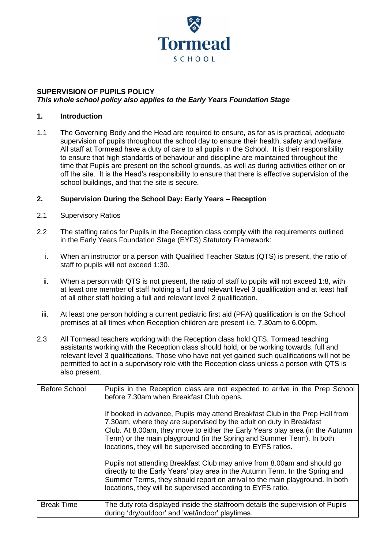

## **SUPERVISION OF PUPILS POLICY**  *This whole school policy also applies to the Early Years Foundation Stage*

#### **1. Introduction**

1.1 The Governing Body and the Head are required to ensure, as far as is practical, adequate supervision of pupils throughout the school day to ensure their health, safety and welfare. All staff at Tormead have a duty of care to all pupils in the School. It is their responsibility to ensure that high standards of behaviour and discipline are maintained throughout the time that Pupils are present on the school grounds, as well as during activities either on or off the site. It is the Head's responsibility to ensure that there is effective supervision of the school buildings, and that the site is secure.

#### **2. Supervision During the School Day: Early Years – Reception**

- 2.1 Supervisory Ratios
- 2.2 The staffing ratios for Pupils in the Reception class comply with the requirements outlined in the Early Years Foundation Stage (EYFS) Statutory Framework:
	- i. When an instructor or a person with Qualified Teacher Status (QTS) is present, the ratio of staff to pupils will not exceed 1:30.
	- ii. When a person with QTS is not present, the ratio of staff to pupils will not exceed 1:8, with at least one member of staff holding a full and relevant level 3 qualification and at least half of all other staff holding a full and relevant level 2 qualification.
	- iii. At least one person holding a current pediatric first aid (PFA) qualification is on the School premises at all times when Reception children are present i.e. 7.30am to 6.00pm.
- 2.3 All Tormead teachers working with the Reception class hold QTS. Tormead teaching assistants working with the Reception class should hold, or be working towards, full and relevant level 3 qualifications. Those who have not yet gained such qualifications will not be permitted to act in a supervisory role with the Reception class unless a person with QTS is also present.

| <b>Before School</b> | Pupils in the Reception class are not expected to arrive in the Prep School<br>before 7.30am when Breakfast Club opens.<br>If booked in advance, Pupils may attend Breakfast Club in the Prep Hall from<br>7.30am, where they are supervised by the adult on duty in Breakfast<br>Club. At 8.00am, they move to either the Early Years play area (in the Autumn<br>Term) or the main playground (in the Spring and Summer Term). In both<br>locations, they will be supervised according to EYFS ratios.<br>Pupils not attending Breakfast Club may arrive from 8.00am and should go<br>directly to the Early Years' play area in the Autumn Term. In the Spring and<br>Summer Terms, they should report on arrival to the main playground. In both<br>locations, they will be supervised according to EYFS ratio. |
|----------------------|--------------------------------------------------------------------------------------------------------------------------------------------------------------------------------------------------------------------------------------------------------------------------------------------------------------------------------------------------------------------------------------------------------------------------------------------------------------------------------------------------------------------------------------------------------------------------------------------------------------------------------------------------------------------------------------------------------------------------------------------------------------------------------------------------------------------|
| <b>Break Time</b>    | The duty rota displayed inside the staffroom details the supervision of Pupils<br>during 'dry/outdoor' and 'wet/indoor' playtimes.                                                                                                                                                                                                                                                                                                                                                                                                                                                                                                                                                                                                                                                                                 |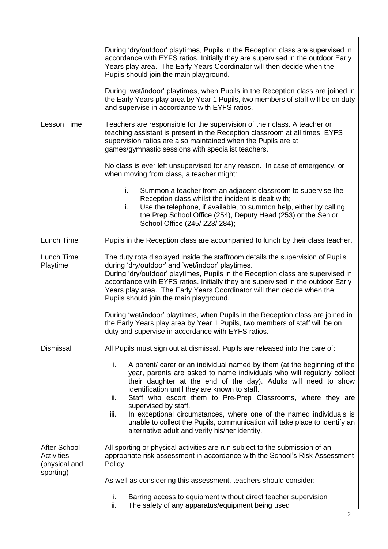|                                                                        | During 'dry/outdoor' playtimes, Pupils in the Reception class are supervised in<br>accordance with EYFS ratios. Initially they are supervised in the outdoor Early<br>Years play area. The Early Years Coordinator will then decide when the<br>Pupils should join the main playground.<br>During 'wet/indoor' playtimes, when Pupils in the Reception class are joined in<br>the Early Years play area by Year 1 Pupils, two members of staff will be on duty<br>and supervise in accordance with EYFS ratios.                                                                                                                                                           |
|------------------------------------------------------------------------|---------------------------------------------------------------------------------------------------------------------------------------------------------------------------------------------------------------------------------------------------------------------------------------------------------------------------------------------------------------------------------------------------------------------------------------------------------------------------------------------------------------------------------------------------------------------------------------------------------------------------------------------------------------------------|
| <b>Lesson Time</b>                                                     | Teachers are responsible for the supervision of their class. A teacher or<br>teaching assistant is present in the Reception classroom at all times. EYFS<br>supervision ratios are also maintained when the Pupils are at<br>games/gymnastic sessions with specialist teachers.                                                                                                                                                                                                                                                                                                                                                                                           |
|                                                                        | No class is ever left unsupervised for any reason. In case of emergency, or<br>when moving from class, a teacher might:                                                                                                                                                                                                                                                                                                                                                                                                                                                                                                                                                   |
|                                                                        | i.<br>Summon a teacher from an adjacent classroom to supervise the<br>Reception class whilst the incident is dealt with;<br>Use the telephone, if available, to summon help, either by calling<br>ii.<br>the Prep School Office (254), Deputy Head (253) or the Senior<br>School Office (245/223/284);                                                                                                                                                                                                                                                                                                                                                                    |
| Lunch Time                                                             | Pupils in the Reception class are accompanied to lunch by their class teacher.                                                                                                                                                                                                                                                                                                                                                                                                                                                                                                                                                                                            |
| Lunch Time<br>Playtime                                                 | The duty rota displayed inside the staffroom details the supervision of Pupils<br>during 'dry/outdoor' and 'wet/indoor' playtimes.<br>During 'dry/outdoor' playtimes, Pupils in the Reception class are supervised in<br>accordance with EYFS ratios. Initially they are supervised in the outdoor Early<br>Years play area. The Early Years Coordinator will then decide when the<br>Pupils should join the main playground.<br>During 'wet/indoor' playtimes, when Pupils in the Reception class are joined in<br>the Early Years play area by Year 1 Pupils, two members of staff will be on<br>duty and supervise in accordance with EYFS ratios.                     |
| <b>Dismissal</b>                                                       | All Pupils must sign out at dismissal. Pupils are released into the care of:<br>A parent/ carer or an individual named by them (at the beginning of the<br>i.<br>year, parents are asked to name individuals who will regularly collect<br>their daughter at the end of the day). Adults will need to show<br>identification until they are known to staff.<br>ii.<br>Staff who escort them to Pre-Prep Classrooms, where they are<br>supervised by staff.<br>iii.<br>In exceptional circumstances, where one of the named individuals is<br>unable to collect the Pupils, communication will take place to identify an<br>alternative adult and verify his/her identity. |
| <b>After School</b><br><b>Activities</b><br>(physical and<br>sporting) | All sporting or physical activities are run subject to the submission of an<br>appropriate risk assessment in accordance with the School's Risk Assessment<br>Policy.                                                                                                                                                                                                                                                                                                                                                                                                                                                                                                     |
|                                                                        | As well as considering this assessment, teachers should consider:                                                                                                                                                                                                                                                                                                                                                                                                                                                                                                                                                                                                         |
|                                                                        | Barring access to equipment without direct teacher supervision<br>i.<br>ii.<br>The safety of any apparatus/equipment being used                                                                                                                                                                                                                                                                                                                                                                                                                                                                                                                                           |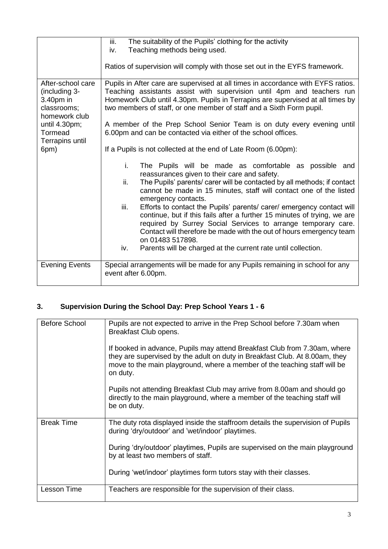|                       | iii.<br>The suitability of the Pupils' clothing for the activity                 |
|-----------------------|----------------------------------------------------------------------------------|
|                       | Teaching methods being used.<br>iv.                                              |
|                       |                                                                                  |
|                       | Ratios of supervision will comply with those set out in the EYFS framework.      |
|                       |                                                                                  |
| After-school care     | Pupils in After care are supervised at all times in accordance with EYFS ratios. |
|                       |                                                                                  |
| (including 3-         | Teaching assistants assist with supervision until 4pm and teachers run           |
| 3.40pm in             | Homework Club until 4.30pm. Pupils in Terrapins are supervised at all times by   |
| classrooms;           | two members of staff, or one member of staff and a Sixth Form pupil.             |
| homework club         |                                                                                  |
| until 4.30pm;         | A member of the Prep School Senior Team is on duty every evening until           |
| Tormead               | 6.00pm and can be contacted via either of the school offices.                    |
|                       |                                                                                  |
| Terrapins until       |                                                                                  |
| 6pm)                  | If a Pupils is not collected at the end of Late Room (6.00pm):                   |
|                       |                                                                                  |
|                       | The Pupils will be made as comfortable as possible and<br>i.                     |
|                       | reassurances given to their care and safety.                                     |
|                       | The Pupils' parents/ carer will be contacted by all methods; if contact<br>ii.   |
|                       | cannot be made in 15 minutes, staff will contact one of the listed               |
|                       | emergency contacts.                                                              |
|                       |                                                                                  |
|                       | Efforts to contact the Pupils' parents/ carer/ emergency contact will<br>iii.    |
|                       | continue, but if this fails after a further 15 minutes of trying, we are         |
|                       | required by Surrey Social Services to arrange temporary care.                    |
|                       | Contact will therefore be made with the out of hours emergency team              |
|                       | on 01483 517898.                                                                 |
|                       | Parents will be charged at the current rate until collection.<br>iv.             |
|                       |                                                                                  |
|                       |                                                                                  |
| <b>Evening Events</b> | Special arrangements will be made for any Pupils remaining in school for any     |
|                       | event after 6.00pm.                                                              |
|                       |                                                                                  |

# **3. Supervision During the School Day: Prep School Years 1 - 6**

| <b>Before School</b> | Pupils are not expected to arrive in the Prep School before 7.30am when<br>Breakfast Club opens.<br>If booked in advance, Pupils may attend Breakfast Club from 7.30am, where<br>they are supervised by the adult on duty in Breakfast Club. At 8.00am, they<br>move to the main playground, where a member of the teaching staff will be<br>on duty. |
|----------------------|-------------------------------------------------------------------------------------------------------------------------------------------------------------------------------------------------------------------------------------------------------------------------------------------------------------------------------------------------------|
|                      | Pupils not attending Breakfast Club may arrive from 8.00am and should go<br>directly to the main playground, where a member of the teaching staff will<br>be on duty.                                                                                                                                                                                 |
| <b>Break Time</b>    | The duty rota displayed inside the staffroom details the supervision of Pupils<br>during 'dry/outdoor' and 'wet/indoor' playtimes.                                                                                                                                                                                                                    |
|                      | During 'dry/outdoor' playtimes, Pupils are supervised on the main playground<br>by at least two members of staff.                                                                                                                                                                                                                                     |
|                      | During 'wet/indoor' playtimes form tutors stay with their classes.                                                                                                                                                                                                                                                                                    |
| Lesson Time          | Teachers are responsible for the supervision of their class.                                                                                                                                                                                                                                                                                          |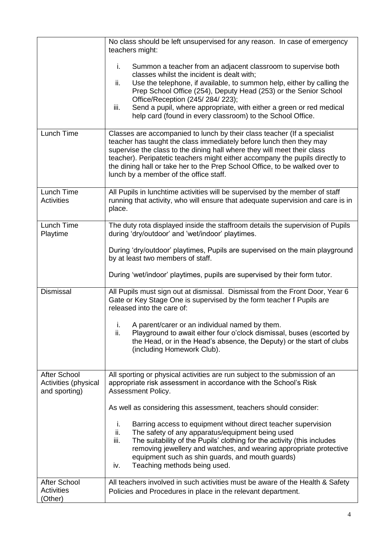|                                                              | No class should be left unsupervised for any reason. In case of emergency<br>teachers might:                                                                                                                                                                                                                                                                                                                                                             |
|--------------------------------------------------------------|----------------------------------------------------------------------------------------------------------------------------------------------------------------------------------------------------------------------------------------------------------------------------------------------------------------------------------------------------------------------------------------------------------------------------------------------------------|
|                                                              | Summon a teacher from an adjacent classroom to supervise both<br>i.<br>classes whilst the incident is dealt with;<br>Use the telephone, if available, to summon help, either by calling the<br>ii.<br>Prep School Office (254), Deputy Head (253) or the Senior School<br>Office/Reception (245/ 284/ 223);<br>Send a pupil, where appropriate, with either a green or red medical<br>iii.<br>help card (found in every classroom) to the School Office. |
| Lunch Time                                                   | Classes are accompanied to lunch by their class teacher (If a specialist<br>teacher has taught the class immediately before lunch then they may<br>supervise the class to the dining hall where they will meet their class<br>teacher). Peripatetic teachers might either accompany the pupils directly to<br>the dining hall or take her to the Prep School Office, to be walked over to<br>lunch by a member of the office staff.                      |
| Lunch Time<br><b>Activities</b>                              | All Pupils in lunchtime activities will be supervised by the member of staff<br>running that activity, who will ensure that adequate supervision and care is in<br>place.                                                                                                                                                                                                                                                                                |
| Lunch Time<br>Playtime                                       | The duty rota displayed inside the staffroom details the supervision of Pupils<br>during 'dry/outdoor' and 'wet/indoor' playtimes.                                                                                                                                                                                                                                                                                                                       |
|                                                              | During 'dry/outdoor' playtimes, Pupils are supervised on the main playground<br>by at least two members of staff.                                                                                                                                                                                                                                                                                                                                        |
|                                                              | During 'wet/indoor' playtimes, pupils are supervised by their form tutor.                                                                                                                                                                                                                                                                                                                                                                                |
| <b>Dismissal</b>                                             | All Pupils must sign out at dismissal. Dismissal from the Front Door, Year 6<br>Gate or Key Stage One is supervised by the form teacher f Pupils are<br>released into the care of:                                                                                                                                                                                                                                                                       |
|                                                              | A parent/carer or an individual named by them.<br>İ.<br>ii.<br>Playground to await either four o'clock dismissal, buses (escorted by<br>the Head, or in the Head's absence, the Deputy) or the start of clubs<br>(including Homework Club).                                                                                                                                                                                                              |
| <b>After School</b><br>Activities (physical<br>and sporting) | All sporting or physical activities are run subject to the submission of an<br>appropriate risk assessment in accordance with the School's Risk<br>Assessment Policy.                                                                                                                                                                                                                                                                                    |
|                                                              | As well as considering this assessment, teachers should consider:                                                                                                                                                                                                                                                                                                                                                                                        |
|                                                              | Barring access to equipment without direct teacher supervision<br>Τ.<br>The safety of any apparatus/equipment being used<br>ii.<br>The suitability of the Pupils' clothing for the activity (this includes<br>iii.<br>removing jewellery and watches, and wearing appropriate protective<br>equipment such as shin guards, and mouth guards)<br>Teaching methods being used.<br>iv.                                                                      |
| <b>After School</b><br><b>Activities</b><br>(Other)          | All teachers involved in such activities must be aware of the Health & Safety<br>Policies and Procedures in place in the relevant department.                                                                                                                                                                                                                                                                                                            |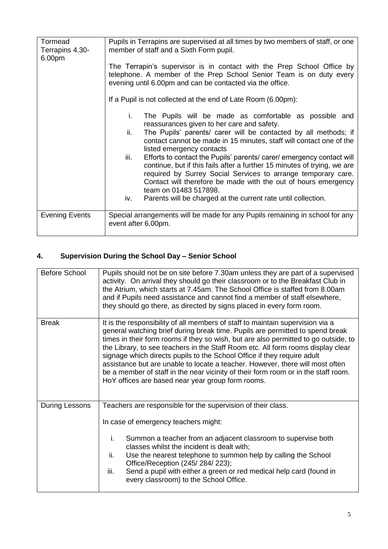| Tormead<br>Terrapins 4.30-<br>6.00pm | Pupils in Terrapins are supervised at all times by two members of staff, or one<br>member of staff and a Sixth Form pupil.                                                                                                                                                                                            |
|--------------------------------------|-----------------------------------------------------------------------------------------------------------------------------------------------------------------------------------------------------------------------------------------------------------------------------------------------------------------------|
|                                      | The Terrapin's supervisor is in contact with the Prep School Office by<br>telephone. A member of the Prep School Senior Team is on duty every<br>evening until 6.00pm and can be contacted via the office.                                                                                                            |
|                                      | If a Pupil is not collected at the end of Late Room (6.00pm):                                                                                                                                                                                                                                                         |
|                                      | i.<br>The Pupils will be made as comfortable as possible and<br>reassurances given to her care and safety.                                                                                                                                                                                                            |
|                                      | ii.<br>The Pupils' parents/ carer will be contacted by all methods; if<br>contact cannot be made in 15 minutes, staff will contact one of the<br>listed emergency contacts                                                                                                                                            |
|                                      | Efforts to contact the Pupils' parents/ carer/ emergency contact will<br>iii.<br>continue, but if this fails after a further 15 minutes of trying, we are<br>required by Surrey Social Services to arrange temporary care.<br>Contact will therefore be made with the out of hours emergency<br>team on 01483 517898. |
|                                      | Parents will be charged at the current rate until collection.<br>iv.                                                                                                                                                                                                                                                  |
| <b>Evening Events</b>                | Special arrangements will be made for any Pupils remaining in school for any<br>event after 6.00pm.                                                                                                                                                                                                                   |

# **4. Supervision During the School Day – Senior School**

| <b>Before School</b> | Pupils should not be on site before 7.30am unless they are part of a supervised<br>activity. On arrival they should go their classroom or to the Breakfast Club in<br>the Atrium, which starts at 7.45am. The School Office is staffed from 8.00am<br>and if Pupils need assistance and cannot find a member of staff elsewhere,<br>they should go there, as directed by signs placed in every form room.                                                                                                                                                                                                                                         |
|----------------------|---------------------------------------------------------------------------------------------------------------------------------------------------------------------------------------------------------------------------------------------------------------------------------------------------------------------------------------------------------------------------------------------------------------------------------------------------------------------------------------------------------------------------------------------------------------------------------------------------------------------------------------------------|
| <b>Break</b>         | It is the responsibility of all members of staff to maintain supervision via a<br>general watching brief during break time. Pupils are permitted to spend break<br>times in their form rooms if they so wish, but are also permitted to go outside, to<br>the Library, to see teachers in the Staff Room etc. All form rooms display clear<br>signage which directs pupils to the School Office if they require adult<br>assistance but are unable to locate a teacher. However, there will most often<br>be a member of staff in the near vicinity of their form room or in the staff room.<br>HoY offices are based near year group form rooms. |
| During Lessons       | Teachers are responsible for the supervision of their class.<br>In case of emergency teachers might:<br>i.<br>Summon a teacher from an adjacent classroom to supervise both<br>classes whilst the incident is dealt with;<br>ii.<br>Use the nearest telephone to summon help by calling the School<br>Office/Reception (245/ 284/ 223);<br>Send a pupil with either a green or red medical help card (found in<br>iii.<br>every classroom) to the School Office.                                                                                                                                                                                  |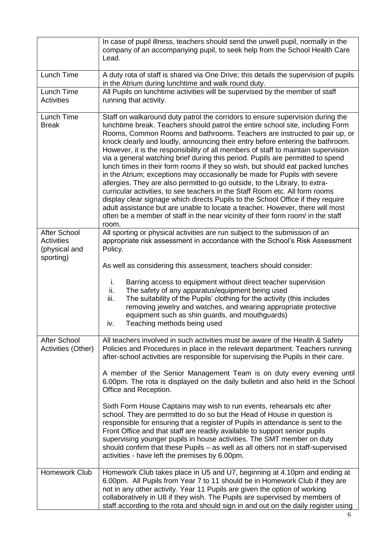|                                                                        | In case of pupil illness, teachers should send the unwell pupil, normally in the<br>company of an accompanying pupil, to seek help from the School Health Care<br>Lead.                                                                                                                                                                                                                                                                                                                                                                                                                                                                                                                                                                                                                                                                                                                                                                                                                                                                                                                               |
|------------------------------------------------------------------------|-------------------------------------------------------------------------------------------------------------------------------------------------------------------------------------------------------------------------------------------------------------------------------------------------------------------------------------------------------------------------------------------------------------------------------------------------------------------------------------------------------------------------------------------------------------------------------------------------------------------------------------------------------------------------------------------------------------------------------------------------------------------------------------------------------------------------------------------------------------------------------------------------------------------------------------------------------------------------------------------------------------------------------------------------------------------------------------------------------|
| Lunch Time                                                             | A duty rota of staff is shared via One Drive; this details the supervision of pupils<br>in the Atrium during lunchtime and walk round duty.                                                                                                                                                                                                                                                                                                                                                                                                                                                                                                                                                                                                                                                                                                                                                                                                                                                                                                                                                           |
| Lunch Time<br><b>Activities</b>                                        | All Pupils on lunchtime activities will be supervised by the member of staff<br>running that activity.                                                                                                                                                                                                                                                                                                                                                                                                                                                                                                                                                                                                                                                                                                                                                                                                                                                                                                                                                                                                |
| Lunch Time<br><b>Break</b>                                             | Staff on walkaround duty patrol the corridors to ensure supervision during the<br>lunchtime break. Teachers should patrol the entire school site, including Form<br>Rooms, Common Rooms and bathrooms. Teachers are instructed to pair up, or<br>knock clearly and loudly, announcing their entry before entering the bathroom.<br>However, it is the responsibility of all members of staff to maintain supervision<br>via a general watching brief during this period. Pupils are permitted to spend<br>lunch times in their form rooms if they so wish, but should eat packed lunches<br>in the Atrium; exceptions may occasionally be made for Pupils with severe<br>allergies. They are also permitted to go outside, to the Library, to extra-<br>curricular activities, to see teachers in the Staff Room etc. All form rooms<br>display clear signage which directs Pupils to the School Office if they require<br>adult assistance but are unable to locate a teacher. However, there will most<br>often be a member of staff in the near vicinity of their form room/ in the staff<br>room. |
| <b>After School</b><br><b>Activities</b><br>(physical and<br>sporting) | All sporting or physical activities are run subject to the submission of an<br>appropriate risk assessment in accordance with the School's Risk Assessment<br>Policy.                                                                                                                                                                                                                                                                                                                                                                                                                                                                                                                                                                                                                                                                                                                                                                                                                                                                                                                                 |
|                                                                        | As well as considering this assessment, teachers should consider:                                                                                                                                                                                                                                                                                                                                                                                                                                                                                                                                                                                                                                                                                                                                                                                                                                                                                                                                                                                                                                     |
|                                                                        | i.<br>Barring access to equipment without direct teacher supervision<br>ii.<br>The safety of any apparatus/equipment being used<br>iii.<br>The suitability of the Pupils' clothing for the activity (this includes<br>removing jewelry and watches, and wearing appropriate protective<br>equipment such as shin guards, and mouthguards)<br>Teaching methods being used<br>iv.                                                                                                                                                                                                                                                                                                                                                                                                                                                                                                                                                                                                                                                                                                                       |
| <b>After School</b><br>Activities (Other)                              | All teachers involved in such activities must be aware of the Health & Safety<br>Policies and Procedures in place in the relevant department. Teachers running<br>after-school activities are responsible for supervising the Pupils in their care.                                                                                                                                                                                                                                                                                                                                                                                                                                                                                                                                                                                                                                                                                                                                                                                                                                                   |
|                                                                        | A member of the Senior Management Team is on duty every evening until<br>6.00pm. The rota is displayed on the daily bulletin and also held in the School<br>Office and Reception.                                                                                                                                                                                                                                                                                                                                                                                                                                                                                                                                                                                                                                                                                                                                                                                                                                                                                                                     |
|                                                                        | Sixth Form House Captains may wish to run events, rehearsals etc after<br>school. They are permitted to do so but the Head of House in question is<br>responsible for ensuring that a register of Pupils in attendance is sent to the<br>Front Office and that staff are readily available to support senior pupils<br>supervising younger pupils in house activities. The SMT member on duty<br>should confirm that these Pupils - as well as all others not in staff-supervised<br>activities - have left the premises by 6.00pm.                                                                                                                                                                                                                                                                                                                                                                                                                                                                                                                                                                   |
| <b>Homework Club</b>                                                   | Homework Club takes place in U5 and U7, beginning at 4.10pm and ending at<br>6.00pm. All Pupils from Year 7 to 11 should be in Homework Club if they are<br>not in any other activity. Year 11 Pupils are given the option of working<br>collaboratively in U8 if they wish. The Pupils are supervised by members of<br>staff according to the rota and should sign in and out on the daily register using                                                                                                                                                                                                                                                                                                                                                                                                                                                                                                                                                                                                                                                                                            |